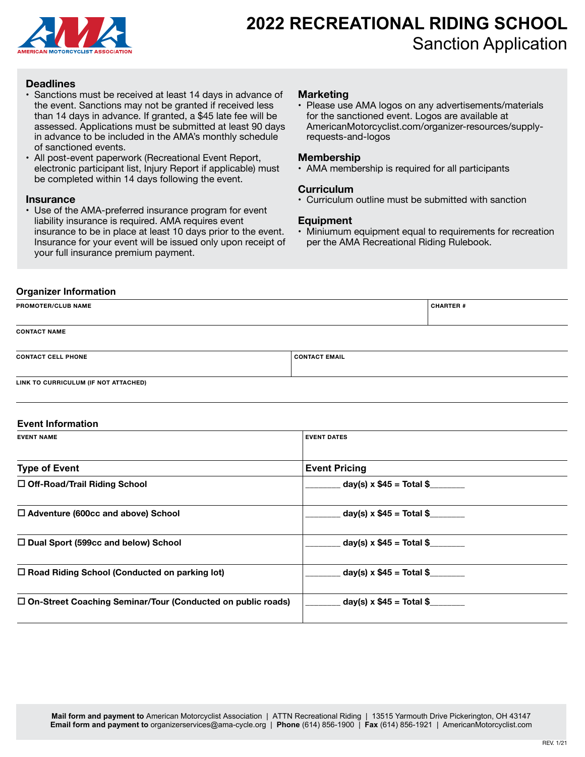

# **2022 RECREATIONAL RIDING SCHOOL** Sanction Application

#### **Deadlines**

- Sanctions must be received at least 14 days in advance of the event. Sanctions may not be granted if received less than 14 days in advance. If granted, a \$45 late fee will be assessed. Applications must be submitted at least 90 days in advance to be included in the AMA's monthly schedule of sanctioned events.
- All post-event paperwork (Recreational Event Report, electronic participant list, Injury Report if applicable) must be completed within 14 days following the event.

#### **Insurance**

• Use of the AMA-preferred insurance program for event liability insurance is required. AMA requires event insurance to be in place at least 10 days prior to the event. Insurance for your event will be issued only upon receipt of your full insurance premium payment.

### **Marketing**

• Please use AMA logos on any advertisements/materials for the sanctioned event. Logos are available at AmericanMotorcyclist.com/organizer-resources/supplyrequests-and-logos

#### **Membership**

• AMA membership is required for all participants

#### **Curriculum**

• Curriculum outline must be submitted with sanction

#### **Equipment**

• Miniumum equipment equal to requirements for recreation per the AMA Recreational Riding Rulebook.

## **Organizer Information**

| <b>PROMOTER/CLUB NAME</b> |                      | <b>CHARTER #</b> |
|---------------------------|----------------------|------------------|
| <b>CONTACT NAME</b>       |                      |                  |
| <b>CONTACT CELL PHONE</b> | <b>CONTACT EMAIL</b> |                  |

**LINK TO CURRICULUM (IF NOT ATTACHED)**

#### **Event Information**

| <b>EVENT NAME</b>                                             | <b>EVENT DATES</b>            |
|---------------------------------------------------------------|-------------------------------|
|                                                               |                               |
| <b>Type of Event</b>                                          | <b>Event Pricing</b>          |
| □ Off-Road/Trail Riding School                                | $day(s) \times $45 = Total $$ |
| $\Box$ Adventure (600cc and above) School                     | $day(s) \times $45 = Total $$ |
| $\Box$ Dual Sport (599cc and below) School                    | day(s) x $$45 = Total $$      |
| $\Box$ Road Riding School (Conducted on parking lot)          | $day(s) \times $45 = Total $$ |
| □ On-Street Coaching Seminar/Tour (Conducted on public roads) | day(s) x $$45 = Total $$      |
|                                                               |                               |

**Mail form and payment to** American Motorcyclist Association | ATTN Recreational Riding | 13515 Yarmouth Drive Pickerington, OH 43147 **Email form and payment to** organizerservices@ama-cycle.org | **Phone** (614) 856-1900 | **Fax** (614) 856-1921 | AmericanMotorcyclist.com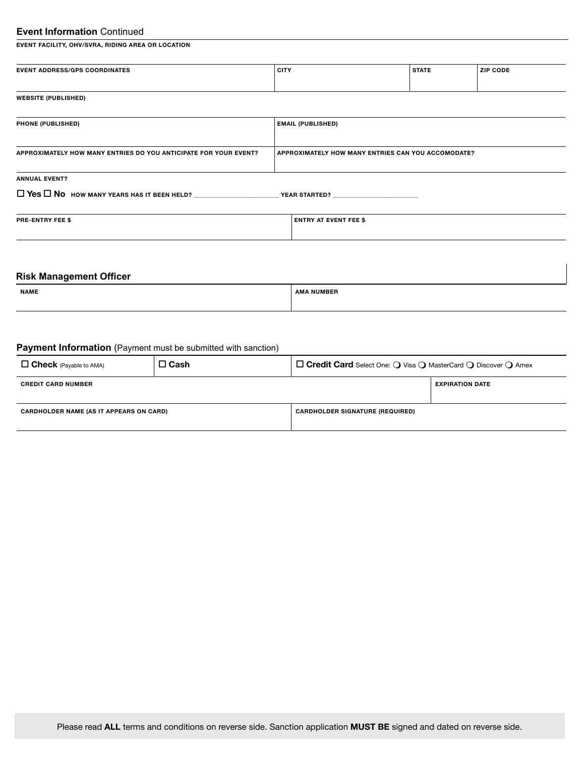# **Event Information** Continued

**EVENT FACILITY, OHV/SVRA, RIDING AREA OR LOCATION**

| <b>EVENT ADDRESS/GPS COORDINATES</b> | , CITY | <b>STATE</b> | <b>ZIP CODE</b> |
|--------------------------------------|--------|--------------|-----------------|
|                                      |        |              |                 |
| <b>WEBSITE (PUBLISHED)</b>           |        |              |                 |

| <b>PHONE (PUBLISHED)</b>                                         | <b>EMAIL (PUBLISHED)</b>                           |
|------------------------------------------------------------------|----------------------------------------------------|
|                                                                  |                                                    |
| APPROXIMATELY HOW MANY ENTRIES DO YOU ANTICIPATE FOR YOUR EVENT? | APPROXIMATELY HOW MANY ENTRIES CAN YOU ACCOMODATE? |
|                                                                  |                                                    |
| <b>ANNUAL EVENT?</b>                                             |                                                    |
|                                                                  | <b>YEAR STARTED?</b>                               |
|                                                                  |                                                    |

| <b>PRE-ENTRY FEE \$</b> | <b>ENTRY AT EVENT FEE \$</b> |
|-------------------------|------------------------------|
|                         |                              |

## **Risk Management Officer**

| <b>NAME</b> | . .<br>IMBER |
|-------------|--------------|
|             |              |

# **Payment Information** (Payment must be submitted with sanction)

| $\Box$ Check (Payable to AMA)                  | $\square$ Cash | $\Box$ Credit Card Select One: $\bigcirc$ Visa $\bigcirc$ MasterCard $\bigcirc$ Discover $\bigcirc$ Amex |                        |
|------------------------------------------------|----------------|----------------------------------------------------------------------------------------------------------|------------------------|
| <b>CREDIT CARD NUMBER</b>                      |                |                                                                                                          | <b>EXPIRATION DATE</b> |
| <b>CARDHOLDER NAME (AS IT APPEARS ON CARD)</b> |                | <b>CARDHOLDER SIGNATURE (REQUIRED)</b>                                                                   |                        |